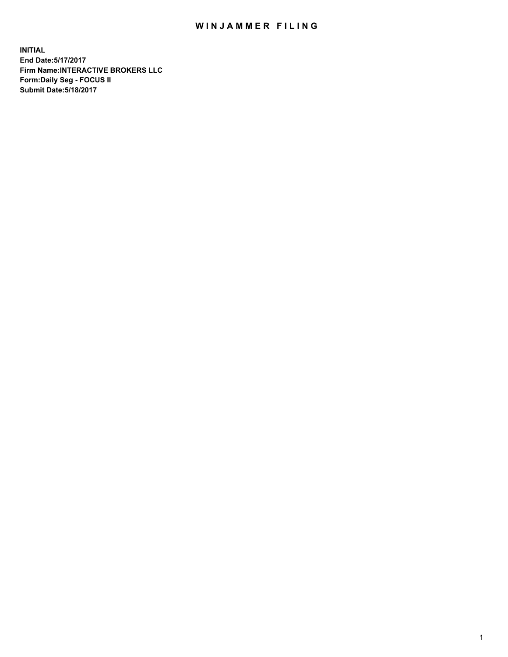## WIN JAMMER FILING

**INITIAL End Date:5/17/2017 Firm Name:INTERACTIVE BROKERS LLC Form:Daily Seg - FOCUS II Submit Date:5/18/2017**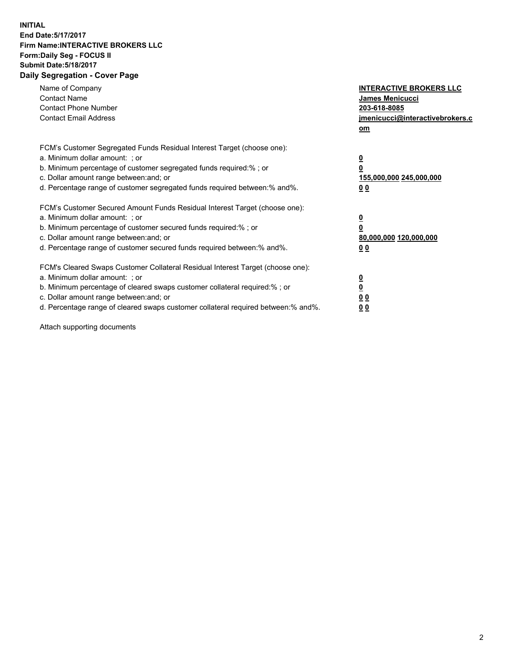## **INITIAL End Date:5/17/2017 Firm Name:INTERACTIVE BROKERS LLC Form:Daily Seg - FOCUS II Submit Date:5/18/2017 Daily Segregation - Cover Page**

| Name of Company<br><b>Contact Name</b><br><b>Contact Phone Number</b><br><b>Contact Email Address</b>                                                                                                                                                                                                                          | <b>INTERACTIVE BROKERS LLC</b><br>James Menicucci<br>203-618-8085<br>jmenicucci@interactivebrokers.c<br>om |
|--------------------------------------------------------------------------------------------------------------------------------------------------------------------------------------------------------------------------------------------------------------------------------------------------------------------------------|------------------------------------------------------------------------------------------------------------|
| FCM's Customer Segregated Funds Residual Interest Target (choose one):<br>a. Minimum dollar amount: ; or<br>b. Minimum percentage of customer segregated funds required:%; or<br>c. Dollar amount range between: and; or<br>d. Percentage range of customer segregated funds required between:% and%.                          | $\overline{\mathbf{0}}$<br>0<br>155,000,000 245,000,000<br>0 <sub>0</sub>                                  |
| FCM's Customer Secured Amount Funds Residual Interest Target (choose one):<br>a. Minimum dollar amount: ; or<br>b. Minimum percentage of customer secured funds required:%; or<br>c. Dollar amount range between: and; or<br>d. Percentage range of customer secured funds required between:% and%.                            | $\overline{\mathbf{0}}$<br>$\overline{\mathbf{0}}$<br>80,000,000 120,000,000<br>00                         |
| FCM's Cleared Swaps Customer Collateral Residual Interest Target (choose one):<br>a. Minimum dollar amount: ; or<br>b. Minimum percentage of cleared swaps customer collateral required:% ; or<br>c. Dollar amount range between: and; or<br>d. Percentage range of cleared swaps customer collateral required between:% and%. | $\overline{\mathbf{0}}$<br>$\overline{\mathbf{0}}$<br>0 <sub>0</sub><br><u>00</u>                          |

Attach supporting documents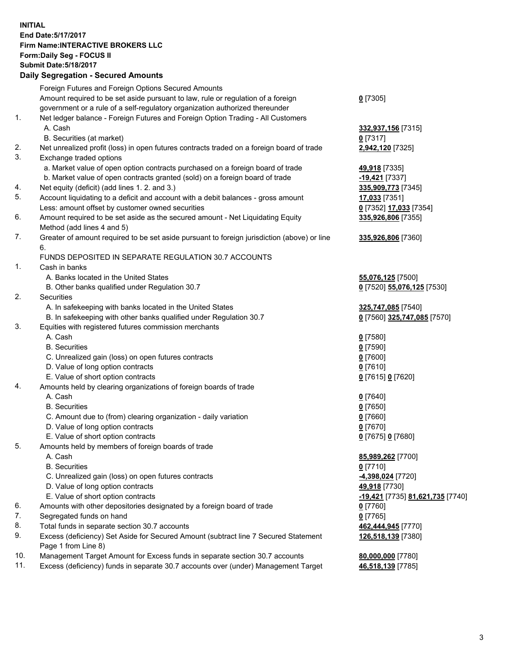## **INITIAL End Date:5/17/2017 Firm Name:INTERACTIVE BROKERS LLC Form:Daily Seg - FOCUS II Submit Date:5/18/2017 Daily Segregation - Secured Amounts**

|                | Daily Segregation - Secured Amounts                                                                        |                                  |
|----------------|------------------------------------------------------------------------------------------------------------|----------------------------------|
|                | Foreign Futures and Foreign Options Secured Amounts                                                        |                                  |
|                | Amount required to be set aside pursuant to law, rule or regulation of a foreign                           | $0$ [7305]                       |
|                | government or a rule of a self-regulatory organization authorized thereunder                               |                                  |
| 1.             | Net ledger balance - Foreign Futures and Foreign Option Trading - All Customers                            |                                  |
|                | A. Cash                                                                                                    | 332,937,156 [7315]               |
|                | B. Securities (at market)                                                                                  | $0$ [7317]                       |
| 2.             | Net unrealized profit (loss) in open futures contracts traded on a foreign board of trade                  | 2,942,120 [7325]                 |
| 3.             | Exchange traded options                                                                                    |                                  |
|                | a. Market value of open option contracts purchased on a foreign board of trade                             | 49,918 [7335]                    |
|                | b. Market value of open contracts granted (sold) on a foreign board of trade                               | $-19,421$ [7337]                 |
| 4.             | Net equity (deficit) (add lines 1.2. and 3.)                                                               | 335,909,773 [7345]               |
| 5.             | Account liquidating to a deficit and account with a debit balances - gross amount                          | 17,033 [7351]                    |
|                | Less: amount offset by customer owned securities                                                           | 0 [7352] 17,033 [7354]           |
| 6.             | Amount required to be set aside as the secured amount - Net Liquidating Equity                             | 335,926,806 [7355]               |
|                | Method (add lines 4 and 5)                                                                                 |                                  |
| 7.             | Greater of amount required to be set aside pursuant to foreign jurisdiction (above) or line                | 335,926,806 [7360]               |
|                | 6.                                                                                                         |                                  |
|                | FUNDS DEPOSITED IN SEPARATE REGULATION 30.7 ACCOUNTS                                                       |                                  |
| $\mathbf{1}$ . | Cash in banks                                                                                              |                                  |
|                | A. Banks located in the United States                                                                      | 55,076,125 [7500]                |
|                | B. Other banks qualified under Regulation 30.7                                                             | 0 [7520] 55,076,125 [7530]       |
| 2.             | Securities                                                                                                 |                                  |
|                | A. In safekeeping with banks located in the United States                                                  | 325,747,085 [7540]               |
|                | B. In safekeeping with other banks qualified under Regulation 30.7                                         | 0 [7560] 325,747,085 [7570]      |
| 3.             | Equities with registered futures commission merchants                                                      |                                  |
|                | A. Cash                                                                                                    | $0$ [7580]                       |
|                | <b>B.</b> Securities                                                                                       | $0$ [7590]                       |
|                | C. Unrealized gain (loss) on open futures contracts                                                        | $0$ [7600]                       |
|                | D. Value of long option contracts                                                                          | $0$ [7610]                       |
|                | E. Value of short option contracts                                                                         | 0 [7615] 0 [7620]                |
| 4.             | Amounts held by clearing organizations of foreign boards of trade                                          |                                  |
|                | A. Cash                                                                                                    | $0$ [7640]                       |
|                | <b>B.</b> Securities                                                                                       | $0$ [7650]                       |
|                | C. Amount due to (from) clearing organization - daily variation                                            | $0$ [7660]                       |
|                | D. Value of long option contracts                                                                          | $0$ [7670]                       |
|                | E. Value of short option contracts                                                                         | 0 [7675] 0 [7680]                |
| 5.             | Amounts held by members of foreign boards of trade                                                         |                                  |
|                | A. Cash                                                                                                    | 85,989,262 [7700]                |
|                | <b>B.</b> Securities                                                                                       | $0$ [7710]                       |
|                | C. Unrealized gain (loss) on open futures contracts                                                        | -4,398,024 [7720]                |
|                | D. Value of long option contracts                                                                          | 49,918 [7730]                    |
|                | E. Value of short option contracts                                                                         | -19,421 [7735] 81,621,735 [7740] |
| 6.             | Amounts with other depositories designated by a foreign board of trade                                     | 0 [7760]                         |
| 7.             | Segregated funds on hand                                                                                   | $0$ [7765]                       |
| 8.             | Total funds in separate section 30.7 accounts                                                              | 462,444,945 [7770]               |
| 9.             | Excess (deficiency) Set Aside for Secured Amount (subtract line 7 Secured Statement<br>Page 1 from Line 8) | 126,518,139 [7380]               |
| 10.            | Management Target Amount for Excess funds in separate section 30.7 accounts                                | 80,000,000 [7780]                |
| 11.            | Excess (deficiency) funds in separate 30.7 accounts over (under) Management Target                         | 46,518,139 [7785]                |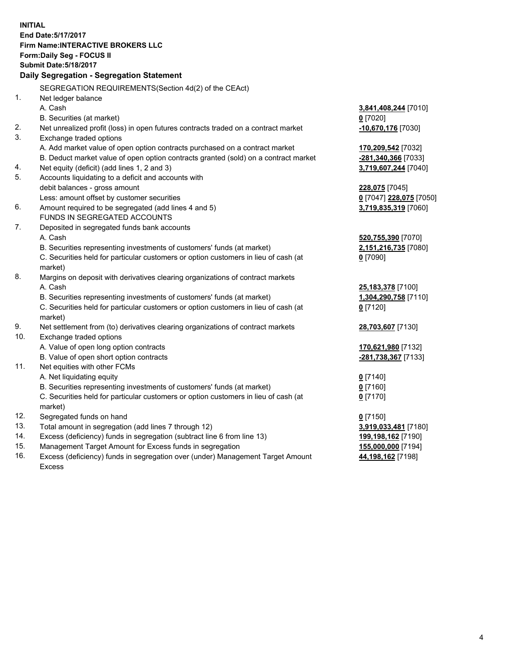**INITIAL End Date:5/17/2017 Firm Name:INTERACTIVE BROKERS LLC Form:Daily Seg - FOCUS II Submit Date:5/18/2017 Daily Segregation - Segregation Statement** SEGREGATION REQUIREMENTS(Section 4d(2) of the CEAct) 1. Net ledger balance A. Cash **3,841,408,244** [7010] B. Securities (at market) **0** [7020] 2. Net unrealized profit (loss) in open futures contracts traded on a contract market **-10,670,176** [7030] 3. Exchange traded options A. Add market value of open option contracts purchased on a contract market **170,209,542** [7032] B. Deduct market value of open option contracts granted (sold) on a contract market **-281,340,366** [7033] 4. Net equity (deficit) (add lines 1, 2 and 3) **3,719,607,244** [7040] 5. Accounts liquidating to a deficit and accounts with debit balances - gross amount **228,075** [7045] Less: amount offset by customer securities **0** [7047] **228,075** [7050] 6. Amount required to be segregated (add lines 4 and 5) **3,719,835,319** [7060] FUNDS IN SEGREGATED ACCOUNTS 7. Deposited in segregated funds bank accounts A. Cash **520,755,390** [7070] B. Securities representing investments of customers' funds (at market) **2,151,216,735** [7080] C. Securities held for particular customers or option customers in lieu of cash (at market) **0** [7090] 8. Margins on deposit with derivatives clearing organizations of contract markets A. Cash **25,183,378** [7100] B. Securities representing investments of customers' funds (at market) **1,304,290,758** [7110] C. Securities held for particular customers or option customers in lieu of cash (at market) **0** [7120] 9. Net settlement from (to) derivatives clearing organizations of contract markets **28,703,607** [7130] 10. Exchange traded options A. Value of open long option contracts **170,621,980** [7132] B. Value of open short option contracts **-281,738,367** [7133] 11. Net equities with other FCMs A. Net liquidating equity **0** [7140] B. Securities representing investments of customers' funds (at market) **0** [7160] C. Securities held for particular customers or option customers in lieu of cash (at market) **0** [7170] 12. Segregated funds on hand **0** [7150] 13. Total amount in segregation (add lines 7 through 12) **3,919,033,481** [7180] 14. Excess (deficiency) funds in segregation (subtract line 6 from line 13) **199,198,162** [7190] 15. Management Target Amount for Excess funds in segregation **155,000,000** [7194] **44,198,162** [7198]

16. Excess (deficiency) funds in segregation over (under) Management Target Amount Excess